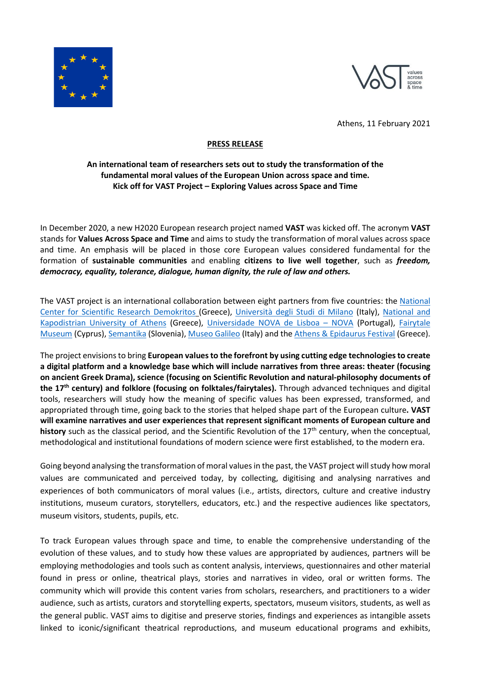



Athens, 11 February 2021

## **PRESS RELEASE**

## **An international team of researchers sets out to study the transformation of the fundamental moral values of the European Union across space and time. Kick off for VAST Project – Exploring Values across Space and Time**

In December 2020, a new H2020 European research project named **VAST** was kicked off. The acronym **VAST**  stands for **Values Across Space and Time** and aims to study the transformation of moral values across space and time. An emphasis will be placed in those core European values considered fundamental for the formation of **sustainable communities** and enabling **citizens to live well together**, such as *freedom, democracy, equality, tolerance, dialogue, human dignity, the rule of law and others.*

The VAST project is an international collaboration between eight partners from five countries: th[e National](https://www.iit.demokritos.gr/)  [Center for Scientific Research Demokritos](https://www.iit.demokritos.gr/) (Greece), [Università degli Studi di Milano](https://www.unimi.it/en) (Italy), [National and](https://en.uoa.gr/)  [Kapodistrian University of Athens](https://en.uoa.gr/) (Greece), [Universidade NOVA de Lisboa –](https://www.unl.pt/en) NOVA (Portugal), [Fairytale](https://www.fairytalemuseum.org.cy/en/)  [Museum](https://www.fairytalemuseum.org.cy/en/) (Cyprus), [Semantika](http://semantika.eu/en-us/) (Slovenia)[, Museo Galileo](https://www.museogalileo.it/en/) (Italy) and th[e Athens & Epidaurus Festival](http://greekfestival.gr/?lang=en) (Greece).

The project envisions to bring **European values to the forefront by using cutting edge technologiesto create a digital platform and a knowledge base which will include narratives from three areas: theater (focusing on ancient Greek Drama), science (focusing on Scientific Revolution and natural-philosophy documents of the 17th century) and folklore (focusing on folktales/fairytales).** Through advanced techniques and digital tools, researchers will study how the meaning of specific values has been expressed, transformed, and appropriated through time, going back to the stories that helped shape part of the European culture**. VAST will examine narratives and user experiences that represent significant moments of European culture and history** such as the classical period, and the Scientific Revolution of the 17th century, when the conceptual, methodological and institutional foundations of modern science were first established, to the modern era.

Going beyond analysing the transformation of moral values in the past, the VAST project will study how moral values are communicated and perceived today, by collecting, digitising and analysing narratives and experiences of both communicators of moral values (i.e., artists, directors, culture and creative industry institutions, museum curators, storytellers, educators, etc.) and the respective audiences like spectators, museum visitors, students, pupils, etc.

To track European values through space and time, to enable the comprehensive understanding of the evolution of these values, and to study how these values are appropriated by audiences, partners will be employing methodologies and tools such as content analysis, interviews, questionnaires and other material found in press or online, theatrical plays, stories and narratives in video, oral or written forms. The community which will provide this content varies from scholars, researchers, and practitioners to a wider audience, such as artists, curators and storytelling experts, spectators, museum visitors, students, as well as the general public. VAST aims to digitise and preserve stories, findings and experiences as intangible assets linked to iconic/significant theatrical reproductions, and museum educational programs and exhibits,